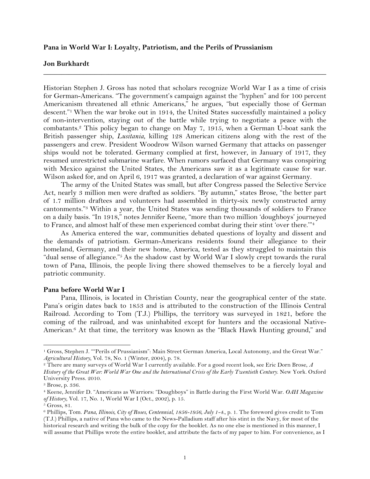## **Pana in World War I: Loyalty, Patriotism, and the Perils of Prussianism**

## **Jon Burkhardt**

Historian Stephen J. Gross has noted that scholars recognize World War I as a time of crisis for German-Americans. "The government's campaign against the "hyphen" and for 100 percent Americanism threatened all ethnic Americans," he argues, "but especially those of German descent."<sup>1</sup> When the war broke out in 1914, the United States successfully maintained a policy of non-intervention, staying out of the battle while trying to negotiate a peace with the combatants.2 This policy began to change on May 7, 1915, when a German U-boat sank the British passenger ship, *Lusitania*, killing 128 American citizens along with the rest of the passengers and crew. President Woodrow Wilson warned Germany that attacks on passenger ships would not be tolerated. Germany complied at first, however, in January of 1917, they resumed unrestricted submarine warfare. When rumors surfaced that Germany was conspiring with Mexico against the United States, the Americans saw it as a legitimate cause for war. Wilson asked for, and on April 6, 1917 was granted, a declaration of war against Germany.

**\_\_\_\_\_\_\_\_\_\_\_\_\_\_\_\_\_\_\_\_\_\_\_\_\_\_\_\_\_\_\_\_\_\_\_\_\_\_\_\_\_\_\_\_\_\_\_\_\_\_\_\_\_\_\_\_\_\_\_\_\_\_\_\_\_\_\_\_\_\_\_\_\_\_\_\_\_\_**

The army of the United States was small, but after Congress passed the Selective Service Act, nearly 3 million men were drafted as soldiers. "By autumn," states Brose, "the better part of 1.7 million draftees and volunteers had assembled in thirty-six newly constructed army cantonments."3 Within a year, the United States was sending thousands of soldiers to France on a daily basis. "In 1918," notes Jennifer Keene, "more than two million 'doughboys' journeyed to France, and almost half of these men experienced combat during their stint 'over there.'"4

As America entered the war, communities debated questions of loyalty and dissent and the demands of patriotism. German-Americans residents found their allegiance to their homeland, Germany, and their new home, America, tested as they struggled to maintain this "dual sense of allegiance."5 As the shadow cast by World War I slowly crept towards the rural town of Pana, Illinois, the people living there showed themselves to be a fiercely loyal and patriotic community.

# **Pana before World War I**

!!!!!!!!!!!!!!!!!!!!!!!!!!!!!!!!!!!!!!!!!!!!!!!!!!!!!!!!!!!!

Pana, Illinois, is located in Christian County, near the geographical center of the state. Pana's origin dates back to 1853 and is attributed to the construction of the Illinois Central Railroad. According to Tom (T.J.) Phillips, the territory was surveyed in 1821, before the coming of the railroad, and was uninhabited except for hunters and the occasional Native-American.6 At that time, the territory was known as the "Black Hawk Hunting ground," and

<sup>1</sup> Gross, Stephen J. ""Perils of Prussianism": Main Street German America, Local Autonomy, and the Great War." *Agricultural History*, Vol. 78, No. 1 (Winter, 2004), p. 78.

<sup>2</sup> There are many surveys of World War I currently available. For a good recent look, see Eric Dorn Brose, *A History of the Great War: World War One and the International Crisis of the Early Twentieth Century*. New York. Oxford University Press. 2010.

<sup>3</sup> Brose, p. 336.

<sup>4</sup> Keene, Jennifer D. "Americans as Warriors: "Doughboys" in Battle during the First World War. *OAH Magazine of History*, Vol. 17, No. 1, World War I (Oct., 2002), p. 15.

<sup>5</sup> Gross, 81.

<sup>6</sup> Phillips, Tom. *Pana, Illinois, City of Roses, Centennial, 1856-1956, July 1-4*., p. 1. The foreword gives credit to Tom (T.J.) Phillips, a native of Pana who came to the News-Palladium staff after his stint in the Navy, for most of the historical research and writing the bulk of the copy for the booklet. As no one else is mentioned in this manner, I will assume that Phillips wrote the entire booklet, and attribute the facts of my paper to him. For convenience, as I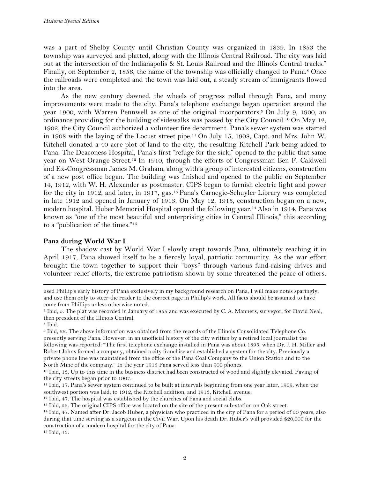was a part of Shelby County until Christian County was organized in 1839. In 1853 the township was surveyed and platted, along with the Illinois Central Railroad. The city was laid out at the intersection of the Indianapolis & St. Louis Railroad and the Illinois Central tracks.7 Finally, on September 2, 1856, the name of the township was officially changed to Pana.<sup>8</sup> Once the railroads were completed and the town was laid out, a steady stream of immigrants flowed into the area.

As the new century dawned, the wheels of progress rolled through Pana, and many improvements were made to the city. Pana's telephone exchange began operation around the year 1900, with Warren Pennwell as one of the original incorporators.9 On July 9, 1900, an ordinance providing for the building of sidewalks was passed by the City Council.<sup>10</sup> On May 12, 1902, the City Council authorized a volunteer fire department. Pana's sewer system was started in 1908 with the laying of the Locust street pipe.<sup>11</sup> On July 15, 1908, Capt. and Mrs. John W. Kitchell donated a 40 acre plot of land to the city, the resulting Kitchell Park being added to Pana. The Deaconess Hospital, Pana's first "refuge for the sick," opened to the public that same year on West Orange Street.12 In 1910, through the efforts of Congressman Ben F. Caldwell and Ex-Congressman James M. Graham, along with a group of interested citizens, construction of a new post office began. The building was finished and opened to the public on September 14, 1912, with W. H. Alexander as postmaster. CIPS began to furnish electric light and power for the city in 1912, and later, in 1917, gas.13 Pana's Carnegie-Schuyler Library was completed in late 1912 and opened in January of 1913. On May 12, 1913, construction began on a new, modern hospital. Huber Memorial Hospital opened the following year.14 Also in 1914, Pana was known as "one of the most beautiful and enterprising cities in Central Illinois," this according to a "publication of the times."15

# **Pana during World War I**

The shadow cast by World War I slowly crept towards Pana, ultimately reaching it in April 1917, Pana showed itself to be a fiercely loyal, patriotic community. As the war effort brought the town together to support their "boys" through various fund-raising drives and volunteer relief efforts, the extreme patriotism shown by some threatened the peace of others.

!!!!!!!!!!!!!!!!!!!!!!!!!!!!!!!!!!!!!!!!!!!!!!!!!!!!!!!!!!!!!!!!!!!!!!!!!!!!!!!!!!!!!!!!!!!!!!!!!!!!!!!!!!!!!!!!!!!!!!!!!!!!!!!!!!!!!!!!!!!!!!!!!!!!!!!!!!!!!!!!!!!!!!!!!!!!!!!!!!!!!!!!!!!!!!!!!!!

<sup>15</sup> Ibid, 13.

used Phillip's early history of Pana exclusively in my background research on Pana, I will make notes sparingly, and use them only to steer the reader to the correct page in Phillip's work. All facts should be assumed to have come from Phillips unless otherwise noted.

<sup>7</sup> Ibid, 5. The plat was recorded in January of 1855 and was executed by C. A. Manners, surveyor, for David Neal, then president of the Illinois Central.

<sup>8</sup> Ibid.

<sup>9</sup> Ibid, 22. The above information was obtained from the records of the Illinois Consolidated Telephone Co. presently serving Pana. However, in an unofficial history of the city written by a retired local journalist the following was reported: "The first telephone exchange installed in Pana was about 1895, when Dr. J. H. Miller and Robert Johns formed a company, obtained a city franchise and established a system for the city. Previously a private phone line was maintained from the office of the Pana Coal Company to the Union Station and to the North Mine of the company." In the year 1915 Pana served less than 900 phones.

<sup>10</sup> Ibid, 13. Up to this time in the business district had been constructed of wood and slightly elevated. Paving of the city streets began prior to 1907.

<sup>11</sup> Ibid, 17. Pana's sewer system continued to be built at intervals beginning from one year later, 1909, when the southwest portion was laid; to 1912, the Kitchell addition; and 1913, Kitchell avenue.

<sup>&</sup>lt;sup>12</sup> Ibid, 47. The hospital was established by the churches of Pana and social clubs.

<sup>13</sup> Ibid, 52. The original CIPS office was located on the site of the present sub-station on Oak street.

<sup>14</sup> Ibid, 47. Named after Dr. Jacob Huber, a physician who practiced in the city of Pana for a period of 50 years, also during that time serving as a surgeon in the Civil War. Upon his death Dr. Huber's will provided \$20,000 for the construction of a modern hospital for the city of Pana.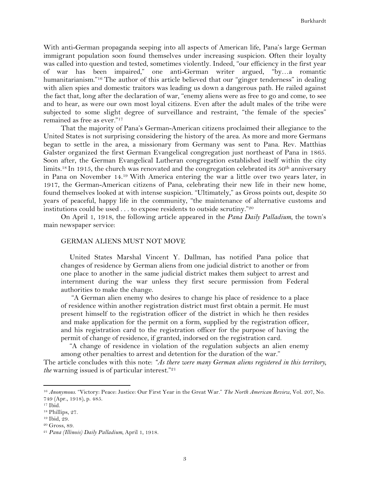With anti-German propaganda seeping into all aspects of American life, Pana's large German immigrant population soon found themselves under increasing suspicion. Often their loyalty was called into question and tested, sometimes violently. Indeed, "our efficiency in the first year of war has been impaired," one anti-German writer argued, "by…a romantic humanitarianism."<sup>16</sup> The author of this article believed that our "ginger tenderness" in dealing with alien spies and domestic traitors was leading us down a dangerous path. He railed against the fact that, long after the declaration of war, "enemy aliens were as free to go and come, to see and to hear, as were our own most loyal citizens. Even after the adult males of the tribe were subjected to some slight degree of surveillance and restraint, "the female of the species" remained as free as ever."17

That the majority of Pana's German-American citizens proclaimed their allegiance to the United States is not surprising considering the history of the area. As more and more Germans began to settle in the area, a missionary from Germany was sent to Pana. Rev. Matthias Galster organized the first German Evangelical congregation just northeast of Pana in 1865. Soon after, the German Evangelical Lutheran congregation established itself within the city limits.<sup>18</sup> In 1915, the church was renovated and the congregation celebrated its  $50<sup>th</sup>$  anniversary in Pana on November 14.19 With America entering the war a little over two years later, in 1917, the German-American citizens of Pana, celebrating their new life in their new home, found themselves looked at with intense suspicion. "Ultimately," as Gross points out, despite 50 years of peaceful, happy life in the community, "the maintenance of alternative customs and institutions could be used . . . to expose residents to outside scrutiny."20

On April 1, 1918, the following article appeared in the *Pana Daily Palladium*, the town's main newspaper service:

# GERMAN ALIENS MUST NOT MOVE

United States Marshal Vincent Y. Dallman, has notified Pana police that changes of residence by German aliens from one judicial district to another or from one place to another in the same judicial district makes them subject to arrest and internment during the war unless they first secure permission from Federal authorities to make the change.

"A German alien enemy who desires to change his place of residence to a place of residence within another registration district must first obtain a permit. He must present himself to the registration officer of the district in which he then resides and make application for the permit on a form, supplied by the registration officer, and his registration card to the registration officer for the purpose of having the permit of change of residence, if granted, indorsed on the registration card.

"A change of residence in violation of the regulation subjects an alien enemy among other penalties to arrest and detention for the duration of the war."

The article concludes with this note: *"As there were many German aliens registered in this territory, the* warning issued is of particular interest."<sup>21</sup>

<sup>16</sup> *Anonymous*. "Victory: Peace: Justice: Our First Year in the Great War." *The North American Review*, Vol. 207, No. 749 (Apr., 1918), p. 485.

<sup>17</sup> Ibid.

<sup>18</sup> Phillips, 27.

<sup>19</sup> Ibid, 29.

<sup>20</sup> Gross, 89.

<sup>21</sup> *Pana (Illinois) Daily Palladium,* April 1, 1918.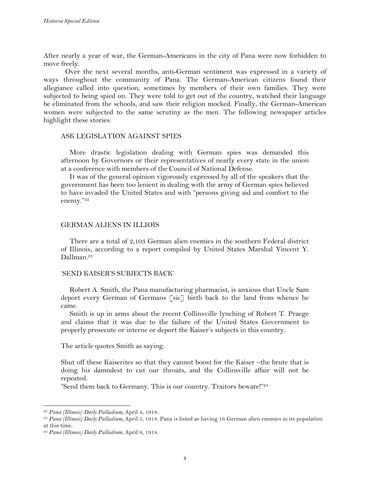After nearly a year of war, the German-Americans in the city of Pana were now forbidden to move freely.

Over the next several months, anti-German sentiment was expressed in a variety of ways throughout the community of Pana. The German-American citizens found their allegiance called into question, sometimes by members of their own families. They were subjected to being spied on. They were told to get out of the country, watched their language be eliminated from the schools, and saw their religion mocked. Finally, the German-American women were subjected to the same scrutiny as the men. The following newspaper articles highlight these stories:

# ASK LEGISLATION AGAINST SPIES

More drastic legislation dealing with German spies was demanded this afternoon by Governors or their representatives of nearly every state in the union at a conference with members of the Council of National Defense.

It was of the general opinion vigorously expressed by all of the speakers that the government has been too lenient in dealing with the army of German spies believed to have invaded the United States and with "persons giving aid and comfort to the enemy."22

## GERMAN ALIENS IN ILLIOIS

There are a total of 2,103 German alien enemies in the southern Federal district of Illinois, according to a report compiled by United States Marshal Vincent Y. Dallman.23

## 'SEND KAISER'S SUBJECTS BACK'

Robert A. Smith, the Pana manufacturing pharmacist, is anxious that Uncle Sam deport every German of Germans [sic] birth back to the land from whence he came.

Smith is up in arms about the recent Collinsville lynching of Robert T. Praege and claims that it was due to the failure of the United States Government to properly prosecute or interne or deport the Kaiser's subjects in this country.

The article quotes Smith as saying:

Shut off these Kaiserites so that they cannot boost for the Kaiser –the brute that is doing his damndest to cut our throats, and the Collinsville affair will not be repeated.

"Send them back to Germany. This is our country. Traitors beware!"24

<sup>22</sup> *Pana (Illinois) Daily Palladium,* April 4, 1918. 23 *Pana (Illinois) Daily Palladium,* April 5, 1918. Pana is listed as having 16 German alien enemies in its population at this time.

<sup>24</sup> *Pana (Illinois) Daily Palladium,* April 8, 1918.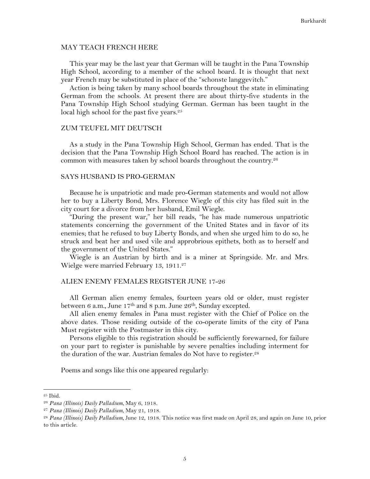#### MAY TEACH FRENCH HERE

This year may be the last year that German will be taught in the Pana Township High School, according to a member of the school board. It is thought that next year French may be substituted in place of the "schonste langgevitch."

Action is being taken by many school boards throughout the state in eliminating German from the schools. At present there are about thirty-five students in the Pana Township High School studying German. German has been taught in the local high school for the past five years.<sup>25</sup>

#### ZUM TEUFEL MIT DEUTSCH

As a study in the Pana Township High School, German has ended. That is the decision that the Pana Township High School Board has reached. The action is in common with measures taken by school boards throughout the country.26

# SAYS HUSBAND IS PRO-GERMAN

Because he is unpatriotic and made pro-German statements and would not allow her to buy a Liberty Bond, Mrs. Florence Wiegle of this city has filed suit in the city court for a divorce from her husband, Emil Wiegle.

"During the present war," her bill reads, "he has made numerous unpatriotic statements concerning the government of the United States and in favor of its enemies; that he refused to buy Liberty Bonds, and when she urged him to do so, he struck and beat her and used vile and approbrious epithets, both as to herself and the government of the United States."

Wiegle is an Austrian by birth and is a miner at Springside. Mr. and Mrs. Wielge were married February 13, 1911.<sup>27</sup>

## ALIEN ENEMY FEMALES REGISTER JUNE 17-26

All German alien enemy females, fourteen years old or older, must register between 6 a.m., June 17<sup>th</sup> and 8 p.m. June 26<sup>th</sup>, Sunday excepted.

All alien enemy females in Pana must register with the Chief of Police on the above dates. Those residing outside of the co-operate limits of the city of Pana Must register with the Postmaster in this city.

Persons eligible to this registration should be sufficiently forewarned, for failure on your part to register is punishable by severe penalties including interment for the duration of the war. Austrian females do Not have to register.<sup>28</sup>

Poems and songs like this one appeared regularly:

<sup>25</sup> Ibid.

<sup>26</sup> *Pana (Illinois) Daily Palladium,* May 6, 1918.

<sup>27</sup> *Pana (Illinois) Daily Palladium,* May 21, 1918.

<sup>28</sup> *Pana (Illinois) Daily Palladium,* June 12, 1918. This notice was first made on April 28, and again on June 10, prior to this article.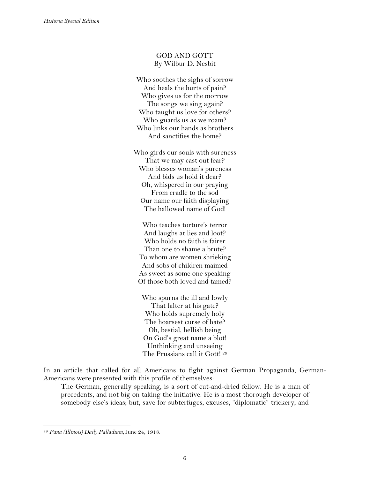# GOD AND GOTT By Wilbur D. Nesbit

Who soothes the sighs of sorrow And heals the hurts of pain? Who gives us for the morrow The songs we sing again? Who taught us love for others? Who guards us as we roam? Who links our hands as brothers And sanctifies the home?

Who girds our souls with sureness That we may cast out fear? Who blesses woman's pureness And bids us hold it dear? Oh, whispered in our praying From cradle to the sod Our name our faith displaying The hallowed name of God!

Who teaches torture's terror And laughs at lies and loot? Who holds no faith is fairer Than one to shame a brute? To whom are women shrieking And sobs of children maimed As sweet as some one speaking Of those both loved and tamed?

Who spurns the ill and lowly That falter at his gate? Who holds supremely holy The hoarsest curse of hate? Oh, bestial, hellish being On God's great name a blot! Unthinking and unseeing The Prussians call it Gott!<sup>29</sup>

In an article that called for all Americans to fight against German Propaganda, German-Americans were presented with this profile of themselves:

The German, generally speaking, is a sort of cut-and-dried fellow. He is a man of precedents, and not big on taking the initiative. He is a most thorough developer of somebody else's ideas; but, save for subterfuges, excuses, "diplomatic" trickery, and

<sup>29</sup> *Pana (Illinois) Daily Palladium,* June 24, 1918.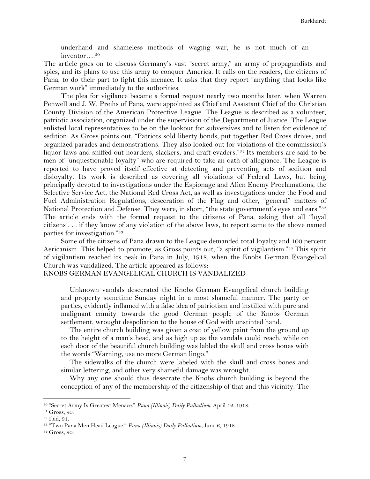underhand and shameless methods of waging war, he is not much of an inventor….30

The article goes on to discuss Germany's vast "secret army," an army of propagandists and spies, and its plans to use this army to conquer America. It calls on the readers, the citizens of Pana, to do their part to fight this menace. It asks that they report "anything that looks like German work" immediately to the authorities.

The plea for vigilance became a formal request nearly two months later, when Warren Penwell and J. W. Preihs of Pana, were appointed as Chief and Assistant Chief of the Christian County Division of the American Protective League. The League is described as a volunteer, patriotic association, organized under the supervision of the Department of Justice. The League enlisted local representatives to be on the lookout for subversives and to listen for evidence of sedition. As Gross points out, "Patriots sold liberty bonds, put together Red Cross drives, and organized parades and demonstrations. They also looked out for violations of the commission's liquor laws and sniffed out hoarders, slackers, and draft evaders."31 Its members are said to be men of "unquestionable loyalty" who are required to take an oath of allegiance. The League is reported to have proved itself effective at detecting and preventing acts of sedition and disloyalty. Its work is described as covering all violations of Federal Laws, but being principally devoted to investigations under the Espionage and Alien Enemy Proclamations, the Selective Service Act, the National Red Cross Act, as well as investigations under the Food and Fuel Administration Regulations, desecration of the Flag and other, "general" matters of National Protection and Defense. They were, in short, "the state government's eyes and ears."<sup>32</sup> The article ends with the formal request to the citizens of Pana, asking that all "loyal citizens . . . if they know of any violation of the above laws, to report same to the above named parties for investigation."33

Some of the citizens of Pana drawn to the League demanded total loyalty and 100 percent Aericanism. This helped to promote, as Gross points out, "a spirit of vigilantism."34 This spirit of vigilantism reached its peak in Pana in July, 1918, when the Knobs German Evangelical Church was vandalized. The article appeared as follows:

## KNOBS GERMAN EVANGELICAL CHURCH IS VANDALIZED

Unknown vandals desecrated the Knobs German Evangelical church building and property sometime Sunday night in a most shameful manner. The party or parties, evidently inflamed with a false idea of patriotism and instilled with pure and malignant enmity towards the good German people of the Knobs German settlement, wrought despoliation to the house of God with unstinted hand.

The entire church building was given a coat of yellow paint from the ground up to the height of a man's head, and as high up as the vandals could reach, while on each door of the beautiful church building was labled the skull and cross bones with the words "Warning, use no more German lingo."

The sidewalks of the church were labeled with the skull and cross bones and similar lettering, and other very shameful damage was wrought.

Why any one should thus desecrate the Knobs church building is beyond the conception of any of the membership of the citizenship of that and this vicinity. The

<sup>30</sup> "Secret Army Is Greatest Menace." *Pana (Illinois) Daily Palladium,* April 12, 1918. 31 Gross, 90.

<sup>32</sup> Ibid, 91.

<sup>33</sup> "Two Pana Men Head League." *Pana (Illinois) Daily Palladium,* June 6, 1918. 34 Gross, 90.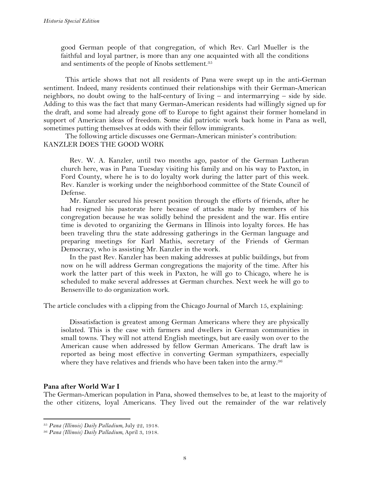good German people of that congregation, of which Rev. Carl Mueller is the faithful and loyal partner, is more than any one acquainted with all the conditions and sentiments of the people of Knobs settlement.<sup>35</sup>

This article shows that not all residents of Pana were swept up in the anti-German sentiment. Indeed, many residents continued their relationships with their German-American neighbors, no doubt owing to the half-century of living – and intermarrying – side by side. Adding to this was the fact that many German-American residents had willingly signed up for the draft, and some had already gone off to Europe to fight against their former homeland in support of American ideas of freedom. Some did patriotic work back home in Pana as well, sometimes putting themselves at odds with their fellow immigrants.

The following article discusses one German-American minister's contribution: KANZLER DOES THE GOOD WORK

Rev. W. A. Kanzler, until two months ago, pastor of the German Lutheran church here, was in Pana Tuesday visiting his family and on his way to Paxton, in Ford County, where he is to do loyalty work during the latter part of this week. Rev. Kanzler is working under the neighborhood committee of the State Council of Defense.

Mr. Kanzler secured his present position through the efforts of friends, after he had resigned his pastorate here because of attacks made by members of his congregation because he was solidly behind the president and the war. His entire time is devoted to organizing the Germans in Illinois into loyalty forces. He has been traveling thru the state addressing gatherings in the German language and preparing meetings for Karl Mathis, secretary of the Friends of German Democracy, who is assisting Mr. Kanzler in the work*.*

In the past Rev. Kanzler has been making addresses at public buildings, but from now on he will address German congregations the majority of the time. After his work the latter part of this week in Paxton, he will go to Chicago, where he is scheduled to make several addresses at German churches. Next week he will go to Bensenville to do organization work.

The article concludes with a clipping from the Chicago Journal of March 15, explaining:

Dissatisfaction is greatest among German Americans where they are physically isolated. This is the case with farmers and dwellers in German communities in small towns. They will not attend English meetings, but are easily won over to the American cause when addressed by fellow German Americans. The draft law is reported as being most effective in converting German sympathizers, especially where they have relatives and friends who have been taken into the army.<sup>36</sup>

# **Pana after World War I**

!!!!!!!!!!!!!!!!!!!!!!!!!!!!!!!!!!!!!!!!!!!!!!!!!!!!!!!!!!!!

The German-American population in Pana, showed themselves to be, at least to the majority of the other citizens, loyal Americans. They lived out the remainder of the war relatively

<sup>35</sup> *Pana (Illinois) Daily Palladium,* July 22, 1918. 36 *Pana (Illinois) Daily Palladium,* April 3, 1918.